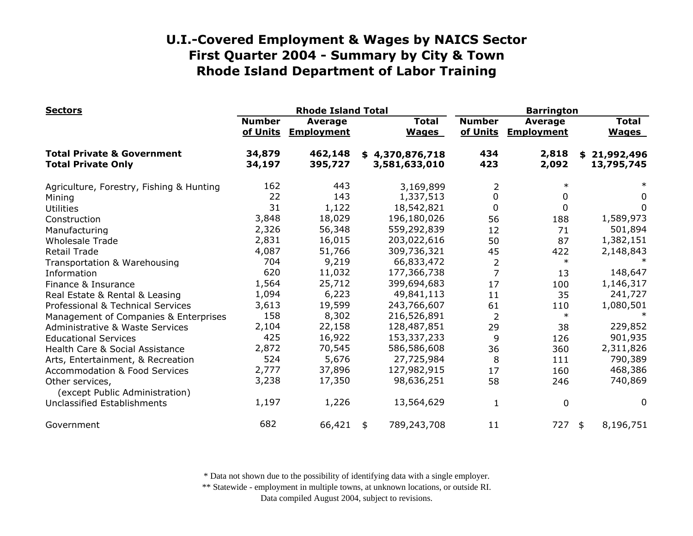| <b>Sectors</b>                                                     | <b>Rhode Island Total</b> |                              |    |                                  | <b>Barrington</b>         |                                     |    |                              |
|--------------------------------------------------------------------|---------------------------|------------------------------|----|----------------------------------|---------------------------|-------------------------------------|----|------------------------------|
|                                                                    | <b>Number</b><br>of Units | Average<br><b>Employment</b> |    | <b>Total</b><br><b>Wages</b>     | <b>Number</b><br>of Units | <b>Average</b><br><b>Employment</b> |    | <b>Total</b><br><b>Wages</b> |
| <b>Total Private &amp; Government</b><br><b>Total Private Only</b> | 34,879<br>34,197          | 462,148<br>395,727           |    | \$4,370,876,718<br>3,581,633,010 | 434<br>423                | 2,818<br>2,092                      | \$ | 21,992,496<br>13,795,745     |
| Agriculture, Forestry, Fishing & Hunting                           | 162                       | 443                          |    | 3,169,899                        | 2                         | $\ast$                              |    | $\ast$                       |
| Mining                                                             | 22                        | 143                          |    | 1,337,513                        | 0                         | 0                                   |    | 0                            |
| <b>Utilities</b>                                                   | 31                        | 1,122                        |    | 18,542,821                       | 0                         | 0                                   |    | 0                            |
| Construction                                                       | 3,848                     | 18,029                       |    | 196,180,026                      | 56                        | 188                                 |    | 1,589,973                    |
| Manufacturing                                                      | 2,326                     | 56,348                       |    | 559,292,839                      | 12                        | 71                                  |    | 501,894                      |
| <b>Wholesale Trade</b>                                             | 2,831                     | 16,015                       |    | 203,022,616                      | 50                        | 87                                  |    | 1,382,151                    |
| <b>Retail Trade</b>                                                | 4,087                     | 51,766                       |    | 309,736,321                      | 45                        | 422                                 |    | 2,148,843                    |
| Transportation & Warehousing                                       | 704                       | 9,219                        |    | 66,833,472                       | $\overline{2}$            | $\ast$                              |    |                              |
| Information                                                        | 620                       | 11,032                       |    | 177,366,738                      | 7                         | 13                                  |    | 148,647                      |
| Finance & Insurance                                                | 1,564                     | 25,712                       |    | 399,694,683                      | 17                        | 100                                 |    | 1,146,317                    |
| Real Estate & Rental & Leasing                                     | 1,094                     | 6,223                        |    | 49,841,113                       | 11                        | 35                                  |    | 241,727                      |
| Professional & Technical Services                                  | 3,613                     | 19,599                       |    | 243,766,607                      | 61                        | 110                                 |    | 1,080,501                    |
| Management of Companies & Enterprises                              | 158                       | 8,302                        |    | 216,526,891                      | 2                         | $\ast$                              |    |                              |
| <b>Administrative &amp; Waste Services</b>                         | 2,104                     | 22,158                       |    | 128,487,851                      | 29                        | 38                                  |    | 229,852                      |
| <b>Educational Services</b>                                        | 425                       | 16,922                       |    | 153,337,233                      | 9                         | 126                                 |    | 901,935                      |
| Health Care & Social Assistance                                    | 2,872                     | 70,545                       |    | 586,586,608                      | 36                        | 360                                 |    | 2,311,826                    |
| Arts, Entertainment, & Recreation                                  | 524                       | 5,676                        |    | 27,725,984                       | 8                         | 111                                 |    | 790,389                      |
| <b>Accommodation &amp; Food Services</b>                           | 2,777                     | 37,896                       |    | 127,982,915                      | 17                        | 160                                 |    | 468,386                      |
| Other services,<br>(except Public Administration)                  | 3,238                     | 17,350                       |    | 98,636,251                       | 58                        | 246                                 |    | 740,869                      |
| Unclassified Establishments                                        | 1,197                     | 1,226                        |    | 13,564,629                       | 1                         | 0                                   |    | 0                            |
| Government                                                         | 682                       | 66,421                       | \$ | 789,243,708                      | 11                        | 727                                 | \$ | 8,196,751                    |

\* Data not shown due to the possibility of identifying data with a single employer.

\*\* Statewide - employment in multiple towns, at unknown locations, or outside RI.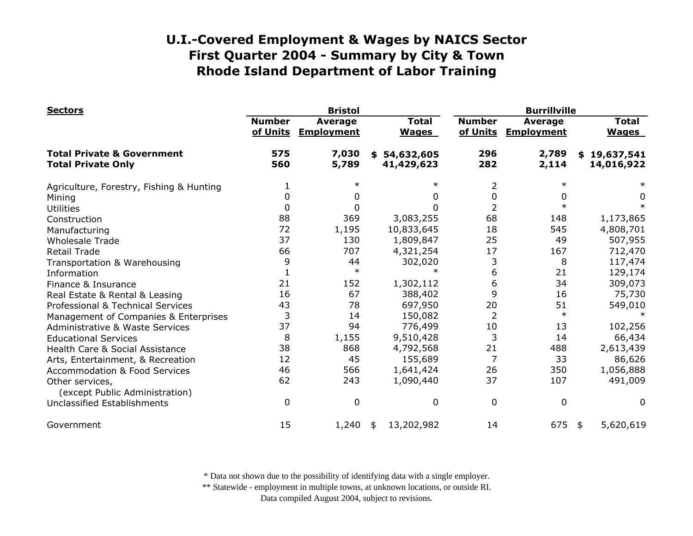| <b>Sectors</b>                                                     |                           | <b>Bristol</b>                      |                                | <b>Burrillville</b>       |                                     |                                |  |
|--------------------------------------------------------------------|---------------------------|-------------------------------------|--------------------------------|---------------------------|-------------------------------------|--------------------------------|--|
|                                                                    | <b>Number</b><br>of Units | <b>Average</b><br><b>Employment</b> | <b>Total</b><br><b>Wages</b>   | <b>Number</b><br>of Units | <b>Average</b><br><b>Employment</b> | <b>Total</b><br><b>Wages</b>   |  |
| <b>Total Private &amp; Government</b><br><b>Total Private Only</b> | 575<br>560                | 7,030<br>5,789                      | 54,632,605<br>\$<br>41,429,623 | 296<br>282                | 2,789<br>2,114                      | 19,637,541<br>\$<br>14,016,922 |  |
| Agriculture, Forestry, Fishing & Hunting                           |                           |                                     | $\ast$                         | 2                         | $\ast$                              |                                |  |
| Mining                                                             | 0                         |                                     | 0                              | 0                         | 0                                   | 0                              |  |
| <b>Utilities</b>                                                   | 0                         |                                     | 0                              |                           | $\ast$                              |                                |  |
| Construction                                                       | 88                        | 369                                 | 3,083,255                      | 68                        | 148                                 | 1,173,865                      |  |
| Manufacturing                                                      | 72                        | 1,195                               | 10,833,645                     | 18                        | 545                                 | 4,808,701                      |  |
| <b>Wholesale Trade</b>                                             | 37                        | 130                                 | 1,809,847                      | 25                        | 49                                  | 507,955                        |  |
| <b>Retail Trade</b>                                                | 66                        | 707                                 | 4,321,254                      | 17                        | 167                                 | 712,470                        |  |
| Transportation & Warehousing                                       | 9                         | 44                                  | 302,020                        | 3                         | 8                                   | 117,474                        |  |
| Information                                                        |                           | $\ast$                              | $\ast$                         | 6                         | 21                                  | 129,174                        |  |
| Finance & Insurance                                                | 21                        | 152                                 | 1,302,112                      | 6                         | 34                                  | 309,073                        |  |
| Real Estate & Rental & Leasing                                     | 16                        | 67                                  | 388,402                        | 9                         | 16                                  | 75,730                         |  |
| Professional & Technical Services                                  | 43                        | 78                                  | 697,950                        | 20                        | 51                                  | 549,010                        |  |
| Management of Companies & Enterprises                              | 3                         | 14                                  | 150,082                        | 2                         | $\ast$                              |                                |  |
| <b>Administrative &amp; Waste Services</b>                         | 37                        | 94                                  | 776,499                        | 10                        | 13                                  | 102,256                        |  |
| <b>Educational Services</b>                                        | 8                         | 1,155                               | 9,510,428                      | 3                         | 14                                  | 66,434                         |  |
| Health Care & Social Assistance                                    | 38                        | 868                                 | 4,792,568                      | 21                        | 488                                 | 2,613,439                      |  |
| Arts, Entertainment, & Recreation                                  | 12                        | 45                                  | 155,689                        | 7                         | 33                                  | 86,626                         |  |
| <b>Accommodation &amp; Food Services</b>                           | 46                        | 566                                 | 1,641,424                      | 26                        | 350                                 | 1,056,888                      |  |
| Other services,<br>(except Public Administration)                  | 62                        | 243                                 | 1,090,440                      | 37                        | 107                                 | 491,009                        |  |
| Unclassified Establishments                                        | 0                         | 0                                   | 0                              | 0                         | 0                                   | 0                              |  |
| Government                                                         | 15                        | 1,240                               | 13,202,982<br>\$               | 14                        | 675                                 | 5,620,619<br>\$                |  |

\* Data not shown due to the possibility of identifying data with a single employer.

\*\* Statewide - employment in multiple towns, at unknown locations, or outside RI.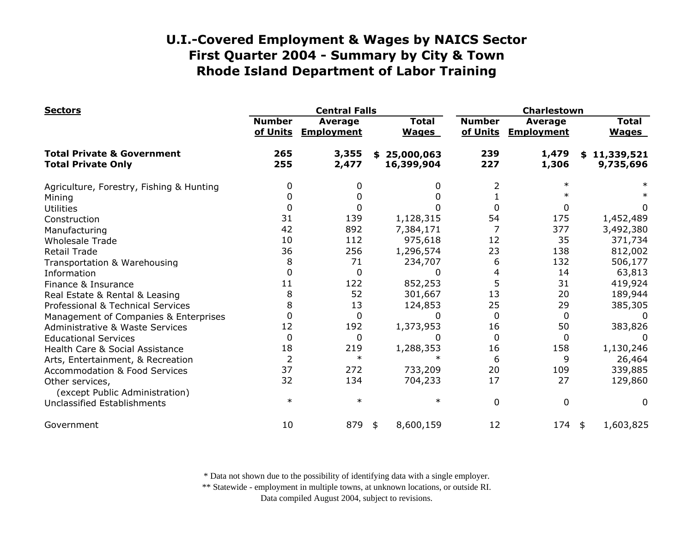| <b>Sectors</b>                                                     |                           | <b>Central Falls</b>         |                              |                           | Charlestown                         |                              |  |  |
|--------------------------------------------------------------------|---------------------------|------------------------------|------------------------------|---------------------------|-------------------------------------|------------------------------|--|--|
|                                                                    | <b>Number</b><br>of Units | Average<br><b>Employment</b> | <b>Total</b><br><b>Wages</b> | <b>Number</b><br>of Units | <b>Average</b><br><b>Employment</b> | <b>Total</b><br><b>Wages</b> |  |  |
| <b>Total Private &amp; Government</b><br><b>Total Private Only</b> | 265<br>255                | 3,355<br>2,477               | \$25,000,063<br>16,399,904   | 239<br>227                | 1,479<br>1,306                      | \$11,339,521<br>9,735,696    |  |  |
| Agriculture, Forestry, Fishing & Hunting                           | 0                         |                              | 0                            |                           | $\ast$                              |                              |  |  |
| Mining                                                             | 0                         |                              | 0                            |                           |                                     |                              |  |  |
| <b>Utilities</b>                                                   | 0                         |                              |                              | 0                         | 0                                   | 0                            |  |  |
| Construction                                                       | 31                        | 139                          | 1,128,315                    | 54                        | 175                                 | 1,452,489                    |  |  |
| Manufacturing                                                      | 42                        | 892                          | 7,384,171                    |                           | 377                                 | 3,492,380                    |  |  |
| <b>Wholesale Trade</b>                                             | 10                        | 112                          | 975,618                      | 12                        | 35                                  | 371,734                      |  |  |
| <b>Retail Trade</b>                                                | 36                        | 256                          | 1,296,574                    | 23                        | 138                                 | 812,002                      |  |  |
| Transportation & Warehousing                                       | 8                         | 71                           | 234,707                      | 6                         | 132                                 | 506,177                      |  |  |
| Information                                                        | 0                         | 0                            | O                            | 4                         | 14                                  | 63,813                       |  |  |
| Finance & Insurance                                                | 11                        | 122                          | 852,253                      | 5                         | 31                                  | 419,924                      |  |  |
| Real Estate & Rental & Leasing                                     | 8                         | 52                           | 301,667                      | 13                        | 20                                  | 189,944                      |  |  |
| Professional & Technical Services                                  | 8                         | 13                           | 124,853                      | 25                        | 29                                  | 385,305                      |  |  |
| Management of Companies & Enterprises                              | $\Omega$                  | $\Omega$                     | 0                            | $\Omega$                  | 0                                   |                              |  |  |
| <b>Administrative &amp; Waste Services</b>                         | 12                        | 192                          | 1,373,953                    | 16                        | 50                                  | 383,826                      |  |  |
| <b>Educational Services</b>                                        | $\mathbf 0$               | 0                            | O                            | $\Omega$                  | 0                                   |                              |  |  |
| Health Care & Social Assistance                                    | 18                        | 219                          | 1,288,353                    | 16                        | 158                                 | 1,130,246                    |  |  |
| Arts, Entertainment, & Recreation                                  | $\overline{2}$            | $\ast$                       | $\ast$                       | 6                         | 9                                   | 26,464                       |  |  |
| <b>Accommodation &amp; Food Services</b>                           | 37                        | 272                          | 733,209                      | 20                        | 109                                 | 339,885                      |  |  |
| Other services,<br>(except Public Administration)                  | 32                        | 134                          | 704,233                      | 17                        | 27                                  | 129,860                      |  |  |
| Unclassified Establishments                                        | $\ast$                    | $\ast$                       | $\ast$                       | $\mathbf{0}$              | 0                                   | 0                            |  |  |
| Government                                                         | 10                        | 879                          | 8,600,159<br>\$              | 12                        | 174                                 | 1,603,825<br>\$              |  |  |

\* Data not shown due to the possibility of identifying data with a single employer.

\*\* Statewide - employment in multiple towns, at unknown locations, or outside RI.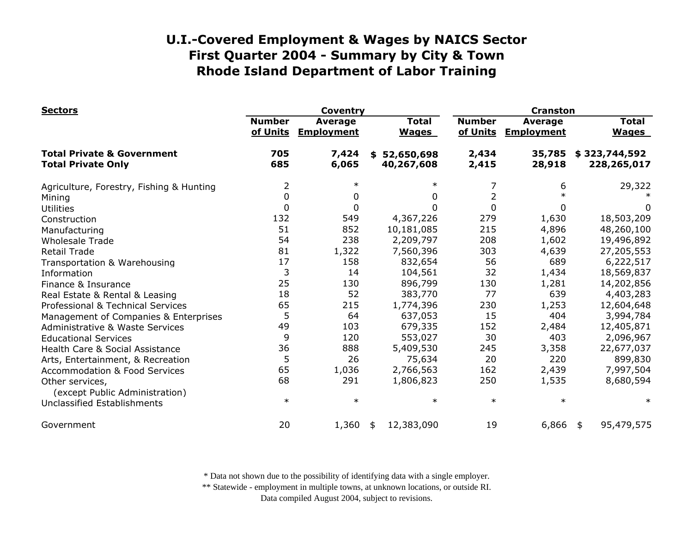| <b>Sectors</b>                                                     |                           | <b>Coventry</b>                     |                                | <b>Cranston</b>           |                                     |                              |  |
|--------------------------------------------------------------------|---------------------------|-------------------------------------|--------------------------------|---------------------------|-------------------------------------|------------------------------|--|
|                                                                    | <b>Number</b><br>of Units | <b>Average</b><br><b>Employment</b> | <b>Total</b><br><b>Wages</b>   | <b>Number</b><br>of Units | <b>Average</b><br><b>Employment</b> | <b>Total</b><br><b>Wages</b> |  |
| <b>Total Private &amp; Government</b><br><b>Total Private Only</b> | 705<br>685                | 7,424<br>6,065                      | 52,650,698<br>\$<br>40,267,608 | 2,434<br>2,415            | 35,785<br>28,918                    | \$323,744,592<br>228,265,017 |  |
| Agriculture, Forestry, Fishing & Hunting                           | $\overline{2}$            | $\ast$                              | $\ast$                         | 7                         | 6                                   | 29,322                       |  |
| Mining                                                             | 0                         | 0                                   | 0                              | 2                         |                                     |                              |  |
| Utilities                                                          | 0                         | 0                                   | 0                              | $\Omega$                  | 0                                   | 0                            |  |
| Construction                                                       | 132                       | 549                                 | 4,367,226                      | 279                       | 1,630                               | 18,503,209                   |  |
| Manufacturing                                                      | 51                        | 852                                 | 10,181,085                     | 215                       | 4,896                               | 48,260,100                   |  |
| <b>Wholesale Trade</b>                                             | 54                        | 238                                 | 2,209,797                      | 208                       | 1,602                               | 19,496,892                   |  |
| <b>Retail Trade</b>                                                | 81                        | 1,322                               | 7,560,396                      | 303                       | 4,639                               | 27,205,553                   |  |
| Transportation & Warehousing                                       | 17                        | 158                                 | 832,654                        | 56                        | 689                                 | 6,222,517                    |  |
| Information                                                        | 3                         | 14                                  | 104,561                        | 32                        | 1,434                               | 18,569,837                   |  |
| Finance & Insurance                                                | 25                        | 130                                 | 896,799                        | 130                       | 1,281                               | 14,202,856                   |  |
| Real Estate & Rental & Leasing                                     | 18                        | 52                                  | 383,770                        | 77                        | 639                                 | 4,403,283                    |  |
| Professional & Technical Services                                  | 65                        | 215                                 | 1,774,396                      | 230                       | 1,253                               | 12,604,648                   |  |
| Management of Companies & Enterprises                              | 5                         | 64                                  | 637,053                        | 15                        | 404                                 | 3,994,784                    |  |
| <b>Administrative &amp; Waste Services</b>                         | 49                        | 103                                 | 679,335                        | 152                       | 2,484                               | 12,405,871                   |  |
| <b>Educational Services</b>                                        | 9                         | 120                                 | 553,027                        | 30                        | 403                                 | 2,096,967                    |  |
| Health Care & Social Assistance                                    | 36                        | 888                                 | 5,409,530                      | 245                       | 3,358                               | 22,677,037                   |  |
| Arts, Entertainment, & Recreation                                  | 5                         | 26                                  | 75,634                         | 20                        | 220                                 | 899,830                      |  |
| <b>Accommodation &amp; Food Services</b>                           | 65                        | 1,036                               | 2,766,563                      | 162                       | 2,439                               | 7,997,504                    |  |
| Other services,<br>(except Public Administration)                  | 68                        | 291                                 | 1,806,823                      | 250                       | 1,535                               | 8,680,594                    |  |
| Unclassified Establishments                                        | $\ast$                    | $\ast$                              | $\ast$                         | $\ast$                    | $\ast$                              | $\ast$                       |  |
| Government                                                         | 20                        | 1,360                               | 12,383,090<br>\$               | 19                        | 6,866                               | 95,479,575<br>\$             |  |

\* Data not shown due to the possibility of identifying data with a single employer.

\*\* Statewide - employment in multiple towns, at unknown locations, or outside RI.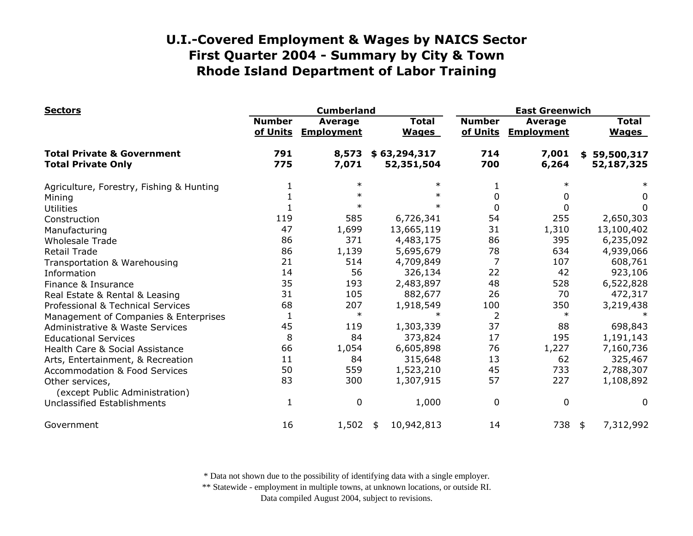| <b>Sectors</b>                                                     |                           | <b>Cumberland</b>                   | <b>East Greenwich</b>        |                           |                                     |    |                              |
|--------------------------------------------------------------------|---------------------------|-------------------------------------|------------------------------|---------------------------|-------------------------------------|----|------------------------------|
|                                                                    | <b>Number</b><br>of Units | <b>Average</b><br><b>Employment</b> | <b>Total</b><br><b>Wages</b> | <b>Number</b><br>of Units | <b>Average</b><br><b>Employment</b> |    | <b>Total</b><br><b>Wages</b> |
| <b>Total Private &amp; Government</b><br><b>Total Private Only</b> | 791<br>775                | 8,573<br>7,071                      | \$63,294,317<br>52,351,504   | 714<br>700                | 7,001<br>6,264                      |    | \$59,500,317<br>52,187,325   |
| Agriculture, Forestry, Fishing & Hunting                           |                           | $\ast$                              | $\ast$                       |                           | $\ast$                              |    |                              |
| Mining                                                             |                           | $\ast$                              | $\ast$                       | 0                         | 0                                   |    | 0                            |
| <b>Utilities</b>                                                   |                           |                                     | $\ast$                       | 0                         | 0                                   |    | 0                            |
| Construction                                                       | 119                       | 585                                 | 6,726,341                    | 54                        | 255                                 |    | 2,650,303                    |
| Manufacturing                                                      | 47                        | 1,699                               | 13,665,119                   | 31                        | 1,310                               |    | 13,100,402                   |
| <b>Wholesale Trade</b>                                             | 86                        | 371                                 | 4,483,175                    | 86                        | 395                                 |    | 6,235,092                    |
| <b>Retail Trade</b>                                                | 86                        | 1,139                               | 5,695,679                    | 78                        | 634                                 |    | 4,939,066                    |
| Transportation & Warehousing                                       | 21                        | 514                                 | 4,709,849                    | 7                         | 107                                 |    | 608,761                      |
| Information                                                        | 14                        | 56                                  | 326,134                      | 22                        | 42                                  |    | 923,106                      |
| Finance & Insurance                                                | 35                        | 193                                 | 2,483,897                    | 48                        | 528                                 |    | 6,522,828                    |
| Real Estate & Rental & Leasing                                     | 31                        | 105                                 | 882,677                      | 26                        | 70                                  |    | 472,317                      |
| Professional & Technical Services                                  | 68                        | 207                                 | 1,918,549                    | 100                       | 350                                 |    | 3,219,438                    |
| Management of Companies & Enterprises                              | $\mathbf 1$               | $\ast$                              | $\ast$                       | $\overline{2}$            | $\ast$                              |    |                              |
| <b>Administrative &amp; Waste Services</b>                         | 45                        | 119                                 | 1,303,339                    | 37                        | 88                                  |    | 698,843                      |
| <b>Educational Services</b>                                        | 8                         | 84                                  | 373,824                      | 17                        | 195                                 |    | 1,191,143                    |
| Health Care & Social Assistance                                    | 66                        | 1,054                               | 6,605,898                    | 76                        | 1,227                               |    | 7,160,736                    |
| Arts, Entertainment, & Recreation                                  | 11                        | 84                                  | 315,648                      | 13                        | 62                                  |    | 325,467                      |
| <b>Accommodation &amp; Food Services</b>                           | 50                        | 559                                 | 1,523,210                    | 45                        | 733                                 |    | 2,788,307                    |
| Other services,<br>(except Public Administration)                  | 83                        | 300                                 | 1,307,915                    | 57                        | 227                                 |    | 1,108,892                    |
| Unclassified Establishments                                        | 1                         | $\mathbf{0}$                        | 1,000                        | $\mathbf 0$               | $\mathbf 0$                         |    | 0                            |
| Government                                                         | 16                        | 1,502                               | 10,942,813<br>\$             | 14                        | 738                                 | \$ | 7,312,992                    |

\* Data not shown due to the possibility of identifying data with a single employer.

\*\* Statewide - employment in multiple towns, at unknown locations, or outside RI.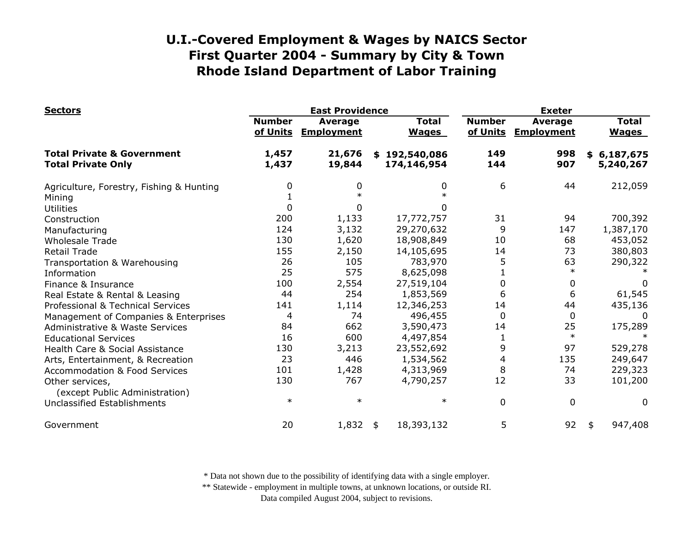| <b>Sectors</b>                                                     |                           | <b>East Providence</b>       |                              | <b>Exeter</b>             |                                     |                              |  |
|--------------------------------------------------------------------|---------------------------|------------------------------|------------------------------|---------------------------|-------------------------------------|------------------------------|--|
|                                                                    | <b>Number</b><br>of Units | Average<br><b>Employment</b> | <b>Total</b><br><b>Wages</b> | <b>Number</b><br>of Units | <b>Average</b><br><b>Employment</b> | <b>Total</b><br><b>Wages</b> |  |
| <b>Total Private &amp; Government</b><br><b>Total Private Only</b> | 1,457<br>1,437            | 21,676<br>19,844             | \$192,540,086<br>174,146,954 | 149<br>144                | 998<br>907                          | \$6,187,675<br>5,240,267     |  |
| Agriculture, Forestry, Fishing & Hunting                           | 0                         | 0                            | 0                            | 6                         | 44                                  | 212,059                      |  |
| Mining                                                             |                           | $\ast$                       |                              |                           |                                     |                              |  |
| <b>Utilities</b>                                                   | 0                         | 0                            | 0                            |                           |                                     |                              |  |
| Construction                                                       | 200                       | 1,133                        | 17,772,757                   | 31                        | 94                                  | 700,392                      |  |
| Manufacturing                                                      | 124                       | 3,132                        | 29,270,632                   | 9                         | 147                                 | 1,387,170                    |  |
| <b>Wholesale Trade</b>                                             | 130                       | 1,620                        | 18,908,849                   | 10                        | 68                                  | 453,052                      |  |
| <b>Retail Trade</b>                                                | 155                       | 2,150                        | 14,105,695                   | 14                        | 73                                  | 380,803                      |  |
| Transportation & Warehousing                                       | 26                        | 105                          | 783,970                      | 5                         | 63                                  | 290,322                      |  |
| Information                                                        | 25                        | 575                          | 8,625,098                    |                           | $\ast$                              |                              |  |
| Finance & Insurance                                                | 100                       | 2,554                        | 27,519,104                   | 0                         | 0                                   | $\Omega$                     |  |
| Real Estate & Rental & Leasing                                     | 44                        | 254                          | 1,853,569                    | 6                         | 6                                   | 61,545                       |  |
| Professional & Technical Services                                  | 141                       | 1,114                        | 12,346,253                   | 14                        | 44                                  | 435,136                      |  |
| Management of Companies & Enterprises                              | 4                         | 74                           | 496,455                      | 0                         | 0                                   | $\Omega$                     |  |
| <b>Administrative &amp; Waste Services</b>                         | 84                        | 662                          | 3,590,473                    | 14                        | 25                                  | 175,289                      |  |
| <b>Educational Services</b>                                        | 16                        | 600                          | 4,497,854                    | 1                         | $\ast$                              |                              |  |
| Health Care & Social Assistance                                    | 130                       | 3,213                        | 23,552,692                   | 9                         | 97                                  | 529,278                      |  |
| Arts, Entertainment, & Recreation                                  | 23                        | 446                          | 1,534,562                    | 4                         | 135                                 | 249,647                      |  |
| <b>Accommodation &amp; Food Services</b>                           | 101                       | 1,428                        | 4,313,969                    | 8                         | 74                                  | 229,323                      |  |
| Other services,<br>(except Public Administration)                  | 130                       | 767                          | 4,790,257                    | 12                        | 33                                  | 101,200                      |  |
| <b>Unclassified Establishments</b>                                 | $\ast$                    | $\ast$                       | $\ast$                       | $\mathbf 0$               | 0                                   | 0                            |  |
| Government                                                         | 20                        | 1,832                        | 18,393,132<br>\$             | 5                         | 92                                  | 947,408<br>\$                |  |

\* Data not shown due to the possibility of identifying data with a single employer.

\*\* Statewide - employment in multiple towns, at unknown locations, or outside RI.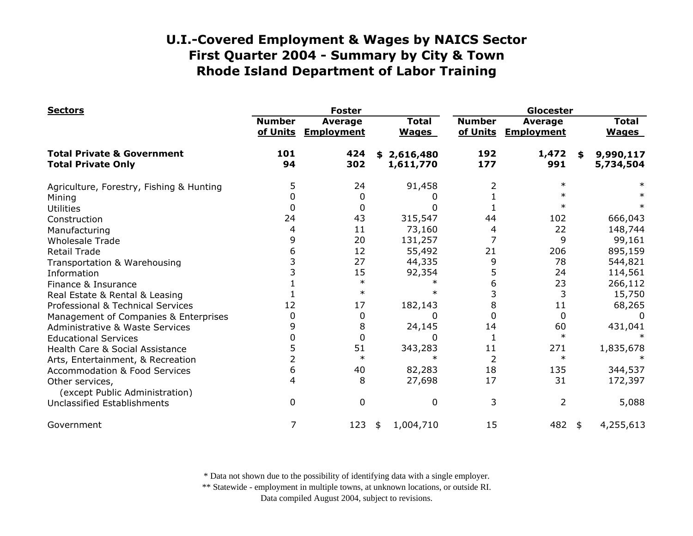| <b>Sectors</b>                                                     |                           | <b>Foster</b>                       | Glocester                    |                           |                              |    |                              |
|--------------------------------------------------------------------|---------------------------|-------------------------------------|------------------------------|---------------------------|------------------------------|----|------------------------------|
|                                                                    | <b>Number</b><br>of Units | <b>Average</b><br><b>Employment</b> | <b>Total</b><br><b>Wages</b> | <b>Number</b><br>of Units | Average<br><b>Employment</b> |    | <b>Total</b><br><b>Wages</b> |
| <b>Total Private &amp; Government</b><br><b>Total Private Only</b> | 101<br>94                 | 424<br>302                          | 2,616,480<br>\$<br>1,611,770 | 192<br>177                | 1,472<br>991                 | \$ | 9,990,117<br>5,734,504       |
| Agriculture, Forestry, Fishing & Hunting                           | 5                         | 24                                  | 91,458                       | 2                         | $\ast$                       |    |                              |
| Mining                                                             |                           | 0                                   |                              |                           | $\ast$                       |    |                              |
| <b>Utilities</b>                                                   | 0                         | 0                                   | 0                            |                           | $\ast$                       |    |                              |
| Construction                                                       | 24                        | 43                                  | 315,547                      | 44                        | 102                          |    | 666,043                      |
| Manufacturing                                                      | 4                         | 11                                  | 73,160                       |                           | 22                           |    | 148,744                      |
| <b>Wholesale Trade</b>                                             | 9                         | 20                                  | 131,257                      |                           | 9                            |    | 99,161                       |
| <b>Retail Trade</b>                                                | 6                         | 12                                  | 55,492                       | 21                        | 206                          |    | 895,159                      |
| Transportation & Warehousing                                       |                           | 27                                  | 44,335                       | 9                         | 78                           |    | 544,821                      |
| Information                                                        |                           | 15                                  | 92,354                       | 5                         | 24                           |    | 114,561                      |
| Finance & Insurance                                                |                           | $\ast$                              |                              | 6                         | 23                           |    | 266,112                      |
| Real Estate & Rental & Leasing                                     |                           | $\ast$                              |                              |                           | 3                            |    | 15,750                       |
| Professional & Technical Services                                  | 12                        | 17                                  | 182,143                      | 8                         | 11                           |    | 68,265                       |
| Management of Companies & Enterprises                              | 0                         | 0                                   | 0                            |                           | 0                            |    | $\Omega$                     |
| <b>Administrative &amp; Waste Services</b>                         | 9                         | 8                                   | 24,145                       | 14                        | 60                           |    | 431,041                      |
| <b>Educational Services</b>                                        |                           | $\Omega$                            | 0                            |                           | $\ast$                       |    |                              |
| Health Care & Social Assistance                                    | 5                         | 51                                  | 343,283                      | 11                        | 271                          |    | 1,835,678                    |
| Arts, Entertainment, & Recreation                                  |                           | $\ast$                              |                              |                           | $\ast$                       |    |                              |
| <b>Accommodation &amp; Food Services</b>                           | 6                         | 40                                  | 82,283                       | 18                        | 135                          |    | 344,537                      |
| Other services,<br>(except Public Administration)                  | 4                         | 8                                   | 27,698                       | 17                        | 31                           |    | 172,397                      |
| <b>Unclassified Establishments</b>                                 | 0                         | 0                                   | 0                            | 3                         | $\overline{2}$               |    | 5,088                        |
| Government                                                         | 7                         | 123                                 | 1,004,710<br>\$              | 15                        | 482 \$                       |    | 4,255,613                    |

\* Data not shown due to the possibility of identifying data with a single employer.

\*\* Statewide - employment in multiple towns, at unknown locations, or outside RI.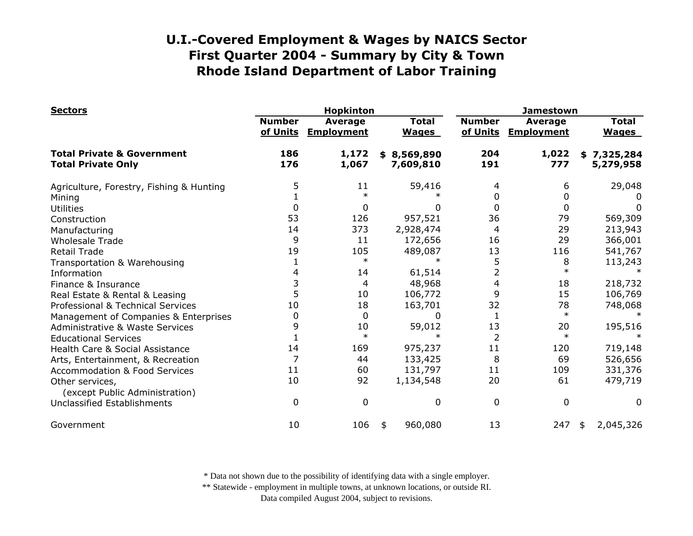| <b>Sectors</b>                                                     |                           | <b>Hopkinton</b>                    |                              | <b>Jamestown</b>          |                                     |                              |  |
|--------------------------------------------------------------------|---------------------------|-------------------------------------|------------------------------|---------------------------|-------------------------------------|------------------------------|--|
|                                                                    | <b>Number</b><br>of Units | <b>Average</b><br><b>Employment</b> | <b>Total</b><br><b>Wages</b> | <b>Number</b><br>of Units | <b>Average</b><br><b>Employment</b> | <b>Total</b><br><b>Wages</b> |  |
| <b>Total Private &amp; Government</b><br><b>Total Private Only</b> | 186<br>176                | 1,172<br>1,067                      | 8,569,890<br>\$<br>7,609,810 | 204<br>191                | 1,022<br>777                        | \$7,325,284<br>5,279,958     |  |
| Agriculture, Forestry, Fishing & Hunting                           | 5                         | 11                                  | 59,416                       |                           | 6                                   | 29,048                       |  |
| Mining                                                             |                           | $\ast$                              |                              | 0                         | 0                                   |                              |  |
| <b>Utilities</b>                                                   | 0                         | 0                                   | 0                            | 0                         | 0                                   | 0                            |  |
| Construction                                                       | 53                        | 126                                 | 957,521                      | 36                        | 79                                  | 569,309                      |  |
| Manufacturing                                                      | 14                        | 373                                 | 2,928,474                    | 4                         | 29                                  | 213,943                      |  |
| <b>Wholesale Trade</b>                                             | 9                         | 11                                  | 172,656                      | 16                        | 29                                  | 366,001                      |  |
| <b>Retail Trade</b>                                                | 19                        | 105                                 | 489,087                      | 13                        | 116                                 | 541,767                      |  |
| Transportation & Warehousing                                       |                           | $\ast$                              |                              | 5                         | 8                                   | 113,243                      |  |
| Information                                                        | 4                         | 14                                  | 61,514                       | $\overline{2}$            | $\ast$                              |                              |  |
| Finance & Insurance                                                | 3                         | 4                                   | 48,968                       | $\overline{4}$            | 18                                  | 218,732                      |  |
| Real Estate & Rental & Leasing                                     | 5                         | 10                                  | 106,772                      | 9                         | 15                                  | 106,769                      |  |
| Professional & Technical Services                                  | 10                        | 18                                  | 163,701                      | 32                        | 78                                  | 748,068                      |  |
| Management of Companies & Enterprises                              | 0                         | $\Omega$                            | 0                            | 1                         | $\ast$                              |                              |  |
| Administrative & Waste Services                                    | 9                         | 10                                  | 59,012                       | 13                        | 20                                  | 195,516                      |  |
| <b>Educational Services</b>                                        |                           | $\ast$                              |                              | $\overline{2}$            | $\ast$                              |                              |  |
| Health Care & Social Assistance                                    | 14                        | 169                                 | 975,237                      | 11                        | 120                                 | 719,148                      |  |
| Arts, Entertainment, & Recreation                                  | 7                         | 44                                  | 133,425                      | 8                         | 69                                  | 526,656                      |  |
| <b>Accommodation &amp; Food Services</b>                           | 11                        | 60                                  | 131,797                      | 11                        | 109                                 | 331,376                      |  |
| Other services,<br>(except Public Administration)                  | 10                        | 92                                  | 1,134,548                    | 20                        | 61                                  | 479,719                      |  |
| <b>Unclassified Establishments</b>                                 | 0                         | 0                                   | 0                            | 0                         | 0                                   | 0                            |  |
| Government                                                         | 10                        | 106                                 | 960,080<br>\$                | 13                        | 247                                 | 2,045,326<br>\$              |  |

\* Data not shown due to the possibility of identifying data with a single employer.

\*\* Statewide - employment in multiple towns, at unknown locations, or outside RI.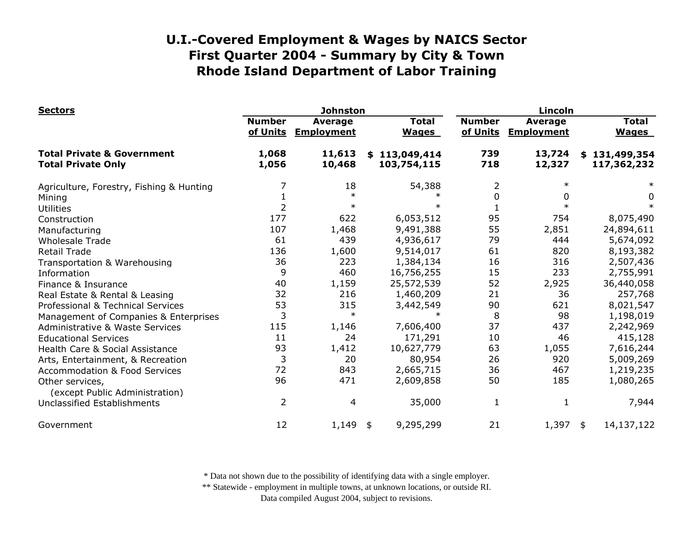| <b>Sectors</b>                                                     |                           | <b>Johnston</b>                     |                              | Lincoln                   |                                     |                              |  |
|--------------------------------------------------------------------|---------------------------|-------------------------------------|------------------------------|---------------------------|-------------------------------------|------------------------------|--|
|                                                                    | <b>Number</b><br>of Units | <b>Average</b><br><b>Employment</b> | <b>Total</b><br><b>Wages</b> | <b>Number</b><br>of Units | <b>Average</b><br><b>Employment</b> | <b>Total</b><br><b>Wages</b> |  |
| <b>Total Private &amp; Government</b><br><b>Total Private Only</b> | 1,068<br>1,056            | 11,613<br>10,468                    | \$113,049,414<br>103,754,115 | 739<br>718                | 13,724<br>12,327                    | \$131,499,354<br>117,362,232 |  |
| Agriculture, Forestry, Fishing & Hunting                           |                           | 18                                  | 54,388                       | 2                         | $\ast$                              |                              |  |
| Mining                                                             |                           | $\ast$                              |                              | 0                         | 0                                   | 0                            |  |
| <b>Utilities</b>                                                   | 2                         | $\ast$                              | ж                            |                           |                                     |                              |  |
| Construction                                                       | 177                       | 622                                 | 6,053,512                    | 95                        | 754                                 | 8,075,490                    |  |
| Manufacturing                                                      | 107                       | 1,468                               | 9,491,388                    | 55                        | 2,851                               | 24,894,611                   |  |
| <b>Wholesale Trade</b>                                             | 61                        | 439                                 | 4,936,617                    | 79                        | 444                                 | 5,674,092                    |  |
| <b>Retail Trade</b>                                                | 136                       | 1,600                               | 9,514,017                    | 61                        | 820                                 | 8,193,382                    |  |
| Transportation & Warehousing                                       | 36                        | 223                                 | 1,384,134                    | 16                        | 316                                 | 2,507,436                    |  |
| Information                                                        | 9                         | 460                                 | 16,756,255                   | 15                        | 233                                 | 2,755,991                    |  |
| Finance & Insurance                                                | 40                        | 1,159                               | 25,572,539                   | 52                        | 2,925                               | 36,440,058                   |  |
| Real Estate & Rental & Leasing                                     | 32                        | 216                                 | 1,460,209                    | 21                        | 36                                  | 257,768                      |  |
| Professional & Technical Services                                  | 53                        | 315                                 | 3,442,549                    | 90                        | 621                                 | 8,021,547                    |  |
| Management of Companies & Enterprises                              | 3                         | $\ast$                              |                              | 8                         | 98                                  | 1,198,019                    |  |
| <b>Administrative &amp; Waste Services</b>                         | 115                       | 1,146                               | 7,606,400                    | 37                        | 437                                 | 2,242,969                    |  |
| <b>Educational Services</b>                                        | 11                        | 24                                  | 171,291                      | 10                        | 46                                  | 415,128                      |  |
| Health Care & Social Assistance                                    | 93                        | 1,412                               | 10,627,779                   | 63                        | 1,055                               | 7,616,244                    |  |
| Arts, Entertainment, & Recreation                                  | 3                         | 20                                  | 80,954                       | 26                        | 920                                 | 5,009,269                    |  |
| <b>Accommodation &amp; Food Services</b>                           | 72                        | 843                                 | 2,665,715                    | 36                        | 467                                 | 1,219,235                    |  |
| Other services,<br>(except Public Administration)                  | 96                        | 471                                 | 2,609,858                    | 50                        | 185                                 | 1,080,265                    |  |
| <b>Unclassified Establishments</b>                                 | $\overline{2}$            | 4                                   | 35,000                       | 1                         | 1                                   | 7,944                        |  |
| Government                                                         | 12                        | 1,149                               | 9,295,299<br>\$              | 21                        | 1,397                               | 14,137,122<br>\$             |  |

\* Data not shown due to the possibility of identifying data with a single employer.

\*\* Statewide - employment in multiple towns, at unknown locations, or outside RI.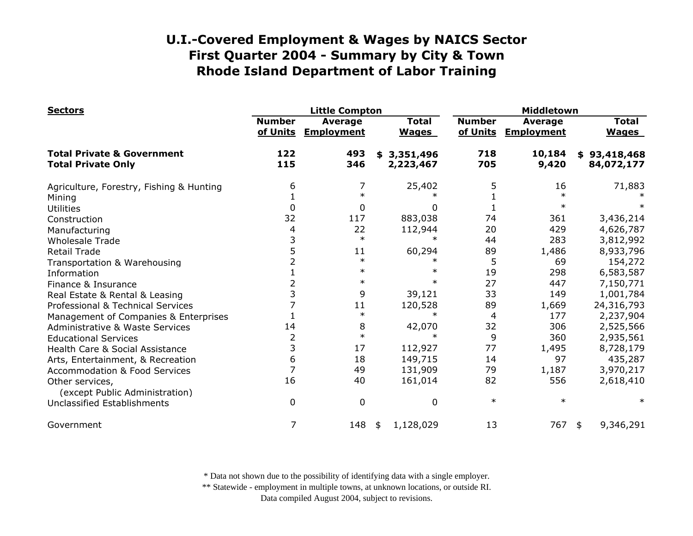| <b>Sectors</b>                                                     |                           | <b>Little Compton</b>               |                              |                           | Middletown                   |                              |  |  |
|--------------------------------------------------------------------|---------------------------|-------------------------------------|------------------------------|---------------------------|------------------------------|------------------------------|--|--|
|                                                                    | <b>Number</b><br>of Units | <b>Average</b><br><b>Employment</b> | <b>Total</b><br><b>Wages</b> | <b>Number</b><br>of Units | Average<br><b>Employment</b> | <b>Total</b><br><b>Wages</b> |  |  |
| <b>Total Private &amp; Government</b><br><b>Total Private Only</b> | 122<br>115                | 493<br>346                          | 3,351,496<br>\$<br>2,223,467 | 718<br>705                | 10,184<br>9,420              | \$93,418,468<br>84,072,177   |  |  |
| Agriculture, Forestry, Fishing & Hunting                           | 6                         |                                     | 25,402                       | 5                         | 16                           | 71,883                       |  |  |
| Mining                                                             |                           | $\ast$                              |                              |                           | $\ast$                       |                              |  |  |
| <b>Utilities</b>                                                   | 0                         | 0                                   | 0                            |                           | $\ast$                       |                              |  |  |
| Construction                                                       | 32                        | 117                                 | 883,038                      | 74                        | 361                          | 3,436,214                    |  |  |
| Manufacturing                                                      | 4                         | 22                                  | 112,944                      | 20                        | 429                          | 4,626,787                    |  |  |
| <b>Wholesale Trade</b>                                             | 3                         | $\ast$                              | $\ast$                       | 44                        | 283                          | 3,812,992                    |  |  |
| <b>Retail Trade</b>                                                | 5                         | 11                                  | 60,294                       | 89                        | 1,486                        | 8,933,796                    |  |  |
| Transportation & Warehousing                                       |                           | $\ast$                              | $\ast$                       | 5                         | 69                           | 154,272                      |  |  |
| Information                                                        |                           | $\ast$                              | $\ast$                       | 19                        | 298                          | 6,583,587                    |  |  |
| Finance & Insurance                                                |                           | $\ast$                              | $\ast$                       | 27                        | 447                          | 7,150,771                    |  |  |
| Real Estate & Rental & Leasing                                     | 3                         | 9                                   | 39,121                       | 33                        | 149                          | 1,001,784                    |  |  |
| Professional & Technical Services                                  |                           | 11                                  | 120,528                      | 89                        | 1,669                        | 24,316,793                   |  |  |
| Management of Companies & Enterprises                              |                           | $\ast$                              | $\ast$                       | 4                         | 177                          | 2,237,904                    |  |  |
| <b>Administrative &amp; Waste Services</b>                         | 14                        | 8                                   | 42,070                       | 32                        | 306                          | 2,525,566                    |  |  |
| <b>Educational Services</b>                                        | 2                         | $\ast$                              |                              | 9                         | 360                          | 2,935,561                    |  |  |
| Health Care & Social Assistance                                    | 3                         | 17                                  | 112,927                      | 77                        | 1,495                        | 8,728,179                    |  |  |
| Arts, Entertainment, & Recreation                                  | 6                         | 18                                  | 149,715                      | 14                        | 97                           | 435,287                      |  |  |
| <b>Accommodation &amp; Food Services</b>                           | 7                         | 49                                  | 131,909                      | 79                        | 1,187                        | 3,970,217                    |  |  |
| Other services,<br>(except Public Administration)                  | 16                        | 40                                  | 161,014                      | 82                        | 556                          | 2,618,410                    |  |  |
| <b>Unclassified Establishments</b>                                 | 0                         | 0                                   | $\mathbf 0$                  | $\ast$                    | $\ast$                       | $\ast$                       |  |  |
| Government                                                         | 7                         | 148                                 | 1,128,029<br>\$              | 13                        | 767                          | 9,346,291<br>\$              |  |  |

\* Data not shown due to the possibility of identifying data with a single employer.

\*\* Statewide - employment in multiple towns, at unknown locations, or outside RI.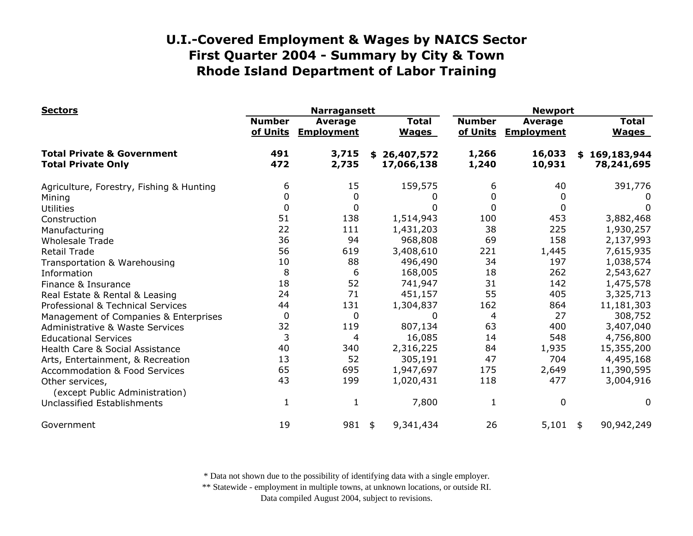| <b>Sectors</b>                                                     |                           | <b>Narragansett</b>                 |                                |                           | <b>Newport</b>                      |                              |  |  |
|--------------------------------------------------------------------|---------------------------|-------------------------------------|--------------------------------|---------------------------|-------------------------------------|------------------------------|--|--|
|                                                                    | <b>Number</b><br>of Units | <b>Average</b><br><b>Employment</b> | <b>Total</b><br><b>Wages</b>   | <b>Number</b><br>of Units | <b>Average</b><br><b>Employment</b> | <b>Total</b><br><b>Wages</b> |  |  |
| <b>Total Private &amp; Government</b><br><b>Total Private Only</b> | 491<br>472                | 3,715<br>2,735                      | 26,407,572<br>\$<br>17,066,138 | 1,266<br>1,240            | 16,033<br>10,931                    | \$169,183,944<br>78,241,695  |  |  |
| Agriculture, Forestry, Fishing & Hunting                           | 6                         | 15                                  | 159,575                        | 6                         | 40                                  | 391,776                      |  |  |
| Mining                                                             | 0                         | 0                                   |                                | 0                         |                                     |                              |  |  |
| <b>Utilities</b>                                                   | $\mathbf 0$               | 0                                   |                                | $\Omega$                  | 0                                   | 0                            |  |  |
| Construction                                                       | 51                        | 138                                 | 1,514,943                      | 100                       | 453                                 | 3,882,468                    |  |  |
| Manufacturing                                                      | 22                        | 111                                 | 1,431,203                      | 38                        | 225                                 | 1,930,257                    |  |  |
| <b>Wholesale Trade</b>                                             | 36                        | 94                                  | 968,808                        | 69                        | 158                                 | 2,137,993                    |  |  |
| <b>Retail Trade</b>                                                | 56                        | 619                                 | 3,408,610                      | 221                       | 1,445                               | 7,615,935                    |  |  |
| Transportation & Warehousing                                       | 10                        | 88                                  | 496,490                        | 34                        | 197                                 | 1,038,574                    |  |  |
| Information                                                        | 8                         | 6                                   | 168,005                        | 18                        | 262                                 | 2,543,627                    |  |  |
| Finance & Insurance                                                | 18                        | 52                                  | 741,947                        | 31                        | 142                                 | 1,475,578                    |  |  |
| Real Estate & Rental & Leasing                                     | 24                        | 71                                  | 451,157                        | 55                        | 405                                 | 3,325,713                    |  |  |
| Professional & Technical Services                                  | 44                        | 131                                 | 1,304,837                      | 162                       | 864                                 | 11,181,303                   |  |  |
| Management of Companies & Enterprises                              | $\mathbf 0$               | 0                                   | 0                              | 4                         | 27                                  | 308,752                      |  |  |
| <b>Administrative &amp; Waste Services</b>                         | 32                        | 119                                 | 807,134                        | 63                        | 400                                 | 3,407,040                    |  |  |
| <b>Educational Services</b>                                        | 3                         | 4                                   | 16,085                         | 14                        | 548                                 | 4,756,800                    |  |  |
| Health Care & Social Assistance                                    | 40                        | 340                                 | 2,316,225                      | 84                        | 1,935                               | 15,355,200                   |  |  |
| Arts, Entertainment, & Recreation                                  | 13                        | 52                                  | 305,191                        | 47                        | 704                                 | 4,495,168                    |  |  |
| <b>Accommodation &amp; Food Services</b>                           | 65                        | 695                                 | 1,947,697                      | 175                       | 2,649                               | 11,390,595                   |  |  |
| Other services,<br>(except Public Administration)                  | 43                        | 199                                 | 1,020,431                      | 118                       | 477                                 | 3,004,916                    |  |  |
| Unclassified Establishments                                        |                           | 1                                   | 7,800                          | 1                         | 0                                   | $\Omega$                     |  |  |
| Government                                                         | 19                        | 981                                 | 9,341,434<br>\$                | 26                        | 5,101                               | 90,942,249<br>\$             |  |  |

\* Data not shown due to the possibility of identifying data with a single employer.

\*\* Statewide - employment in multiple towns, at unknown locations, or outside RI.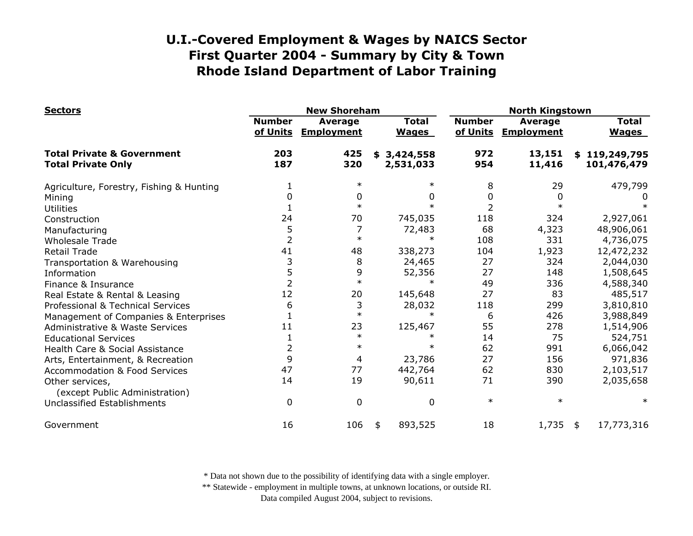| <b>Sectors</b>                                                     |                           | <b>New Shoreham</b>          |                              |                           | <b>North Kingstown</b>              |                              |  |  |
|--------------------------------------------------------------------|---------------------------|------------------------------|------------------------------|---------------------------|-------------------------------------|------------------------------|--|--|
|                                                                    | <b>Number</b><br>of Units | Average<br><b>Employment</b> | <b>Total</b><br><b>Wages</b> | <b>Number</b><br>of Units | <b>Average</b><br><b>Employment</b> | <b>Total</b><br><b>Wages</b> |  |  |
| <b>Total Private &amp; Government</b><br><b>Total Private Only</b> | 203<br>187                | 425<br>320                   | \$3,424,558<br>2,531,033     | 972<br>954                | 13,151<br>11,416                    | \$119,249,795<br>101,476,479 |  |  |
| Agriculture, Forestry, Fishing & Hunting                           |                           | $\ast$                       |                              | 8                         | 29                                  | 479,799                      |  |  |
| Mining                                                             | 0                         | 0                            | 0                            | 0                         |                                     | O                            |  |  |
| <b>Utilities</b>                                                   |                           | $\ast$                       |                              | $\overline{2}$            |                                     |                              |  |  |
| Construction                                                       | 24                        | 70                           | 745,035                      | 118                       | 324                                 | 2,927,061                    |  |  |
| Manufacturing                                                      | 5                         |                              | 72,483                       | 68                        | 4,323                               | 48,906,061                   |  |  |
| <b>Wholesale Trade</b>                                             | $\overline{2}$            | $\ast$                       |                              | 108                       | 331                                 | 4,736,075                    |  |  |
| <b>Retail Trade</b>                                                | 41                        | 48                           | 338,273                      | 104                       | 1,923                               | 12,472,232                   |  |  |
| Transportation & Warehousing                                       | 3                         | 8                            | 24,465                       | 27                        | 324                                 | 2,044,030                    |  |  |
| Information                                                        | 5                         | 9                            | 52,356                       | 27                        | 148                                 | 1,508,645                    |  |  |
| Finance & Insurance                                                | $\overline{2}$            | $\ast$                       |                              | 49                        | 336                                 | 4,588,340                    |  |  |
| Real Estate & Rental & Leasing                                     | 12                        | 20                           | 145,648                      | 27                        | 83                                  | 485,517                      |  |  |
| Professional & Technical Services                                  | 6                         | 3                            | 28,032                       | 118                       | 299                                 | 3,810,810                    |  |  |
| Management of Companies & Enterprises                              |                           | $\ast$                       | $\ast$                       | 6                         | 426                                 | 3,988,849                    |  |  |
| <b>Administrative &amp; Waste Services</b>                         | 11                        | 23                           | 125,467                      | 55                        | 278                                 | 1,514,906                    |  |  |
| <b>Educational Services</b>                                        |                           | $\ast$                       |                              | 14                        | 75                                  | 524,751                      |  |  |
| Health Care & Social Assistance                                    | $\overline{2}$            | $\ast$                       | $\ast$                       | 62                        | 991                                 | 6,066,042                    |  |  |
| Arts, Entertainment, & Recreation                                  | 9                         | 4                            | 23,786                       | 27                        | 156                                 | 971,836                      |  |  |
| <b>Accommodation &amp; Food Services</b>                           | 47                        | 77                           | 442,764                      | 62                        | 830                                 | 2,103,517                    |  |  |
| Other services,<br>(except Public Administration)                  | 14                        | 19                           | 90,611                       | 71                        | 390                                 | 2,035,658                    |  |  |
| Unclassified Establishments                                        | $\mathbf 0$               | $\Omega$                     | $\Omega$                     | $\ast$                    | $\ast$                              | $\ast$                       |  |  |
| Government                                                         | 16                        | 106                          | 893,525<br>\$                | 18                        | 1,735                               | 17,773,316<br>\$             |  |  |

\* Data not shown due to the possibility of identifying data with a single employer.

\*\* Statewide - employment in multiple towns, at unknown locations, or outside RI.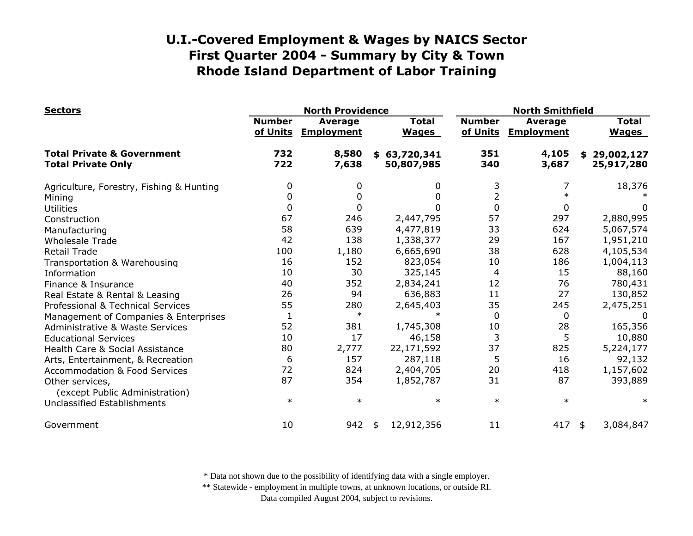| <b>Sectors</b>                                                     |                           | <b>North Providence</b>      |                              | <b>North Smithfield</b>   |                                     |                              |  |
|--------------------------------------------------------------------|---------------------------|------------------------------|------------------------------|---------------------------|-------------------------------------|------------------------------|--|
|                                                                    | <b>Number</b><br>of Units | Average<br><b>Employment</b> | <b>Total</b><br><b>Wages</b> | <b>Number</b><br>of Units | <b>Average</b><br><b>Employment</b> | <b>Total</b><br><b>Wages</b> |  |
| <b>Total Private &amp; Government</b><br><b>Total Private Only</b> | 732<br>722                | 8,580<br>7,638               | \$63,720,341<br>50,807,985   | 351<br>340                | 4,105<br>3,687                      | \$29,002,127<br>25,917,280   |  |
| Agriculture, Forestry, Fishing & Hunting                           | 0                         | 0                            | 0                            | 3                         | 7                                   | 18,376                       |  |
| Mining                                                             | 0                         | 0                            | 0                            | 2                         | $\ast$                              |                              |  |
| <b>Utilities</b>                                                   | 0                         |                              | 0                            | $\overline{0}$            | 0                                   | 0                            |  |
| Construction                                                       | 67                        | 246                          | 2,447,795                    | 57                        | 297                                 | 2,880,995                    |  |
| Manufacturing                                                      | 58                        | 639                          | 4,477,819                    | 33                        | 624                                 | 5,067,574                    |  |
| <b>Wholesale Trade</b>                                             | 42                        | 138                          | 1,338,377                    | 29                        | 167                                 | 1,951,210                    |  |
| <b>Retail Trade</b>                                                | 100                       | 1,180                        | 6,665,690                    | 38                        | 628                                 | 4,105,534                    |  |
| Transportation & Warehousing                                       | 16                        | 152                          | 823,054                      | 10                        | 186                                 | 1,004,113                    |  |
| Information                                                        | 10                        | 30                           | 325,145                      | 4                         | 15                                  | 88,160                       |  |
| Finance & Insurance                                                | 40                        | 352                          | 2,834,241                    | 12                        | 76                                  | 780,431                      |  |
| Real Estate & Rental & Leasing                                     | 26                        | 94                           | 636,883                      | 11                        | 27                                  | 130,852                      |  |
| Professional & Technical Services                                  | 55                        | 280                          | 2,645,403                    | 35                        | 245                                 | 2,475,251                    |  |
| Management of Companies & Enterprises                              | $\mathbf{1}$              | $\ast$                       | $\ast$                       | $\mathbf 0$               | 0                                   | $\Omega$                     |  |
| Administrative & Waste Services                                    | 52                        | 381                          | 1,745,308                    | 10                        | 28                                  | 165,356                      |  |
| <b>Educational Services</b>                                        | 10                        | 17                           | 46,158                       | 3                         | 5                                   | 10,880                       |  |
| Health Care & Social Assistance                                    | 80                        | 2,777                        | 22,171,592                   | 37                        | 825                                 | 5,224,177                    |  |
| Arts, Entertainment, & Recreation                                  | 6                         | 157                          | 287,118                      | 5                         | 16                                  | 92,132                       |  |
| <b>Accommodation &amp; Food Services</b>                           | 72                        | 824                          | 2,404,705                    | 20                        | 418                                 | 1,157,602                    |  |
| Other services,<br>(except Public Administration)                  | 87                        | 354                          | 1,852,787                    | 31                        | 87                                  | 393,889                      |  |
| Unclassified Establishments                                        | $\ast$                    | $\ast$                       | $\ast$                       | $\ast$                    | $\ast$                              | $\ast$                       |  |
| Government                                                         | 10                        | 942                          | 12,912,356<br>\$             | 11                        | 417                                 | 3,084,847<br>\$              |  |

\* Data not shown due to the possibility of identifying data with a single employer.

\*\* Statewide - employment in multiple towns, at unknown locations, or outside RI.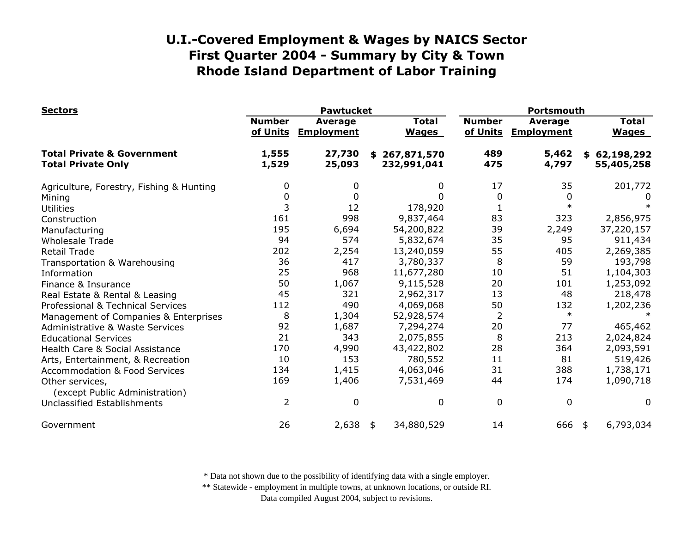| <b>Sectors</b>                                                     |                           | <b>Pawtucket</b>                    |                                  | Portsmouth                |                                     |                              |  |
|--------------------------------------------------------------------|---------------------------|-------------------------------------|----------------------------------|---------------------------|-------------------------------------|------------------------------|--|
|                                                                    | <b>Number</b><br>of Units | <b>Average</b><br><b>Employment</b> | <b>Total</b><br><b>Wages</b>     | <b>Number</b><br>of Units | <b>Average</b><br><b>Employment</b> | <b>Total</b><br><b>Wages</b> |  |
| <b>Total Private &amp; Government</b><br><b>Total Private Only</b> | 1,555<br>1,529            | 27,730<br>25,093                    | 267,871,570<br>\$<br>232,991,041 | 489<br>475                | 5,462<br>4,797                      | \$62,198,292<br>55,405,258   |  |
| Agriculture, Forestry, Fishing & Hunting                           | 0                         | 0                                   | 0                                | 17                        | 35                                  | 201,772                      |  |
| Mining                                                             | 0                         | 0                                   | 0                                | $\mathbf 0$               | 0                                   | 0                            |  |
| <b>Utilities</b>                                                   | 3                         | 12                                  | 178,920                          |                           | $\ast$                              |                              |  |
| Construction                                                       | 161                       | 998                                 | 9,837,464                        | 83                        | 323                                 | 2,856,975                    |  |
| Manufacturing                                                      | 195                       | 6,694                               | 54,200,822                       | 39                        | 2,249                               | 37,220,157                   |  |
| <b>Wholesale Trade</b>                                             | 94                        | 574                                 | 5,832,674                        | 35                        | 95                                  | 911,434                      |  |
| <b>Retail Trade</b>                                                | 202                       | 2,254                               | 13,240,059                       | 55                        | 405                                 | 2,269,385                    |  |
| Transportation & Warehousing                                       | 36                        | 417                                 | 3,780,337                        | 8                         | 59                                  | 193,798                      |  |
| Information                                                        | 25                        | 968                                 | 11,677,280                       | 10                        | 51                                  | 1,104,303                    |  |
| Finance & Insurance                                                | 50                        | 1,067                               | 9,115,528                        | 20                        | 101                                 | 1,253,092                    |  |
| Real Estate & Rental & Leasing                                     | 45                        | 321                                 | 2,962,317                        | 13                        | 48                                  | 218,478                      |  |
| Professional & Technical Services                                  | 112                       | 490                                 | 4,069,068                        | 50                        | 132                                 | 1,202,236                    |  |
| Management of Companies & Enterprises                              | 8                         | 1,304                               | 52,928,574                       | $\overline{2}$            | $\ast$                              |                              |  |
| <b>Administrative &amp; Waste Services</b>                         | 92                        | 1,687                               | 7,294,274                        | 20                        | 77                                  | 465,462                      |  |
| <b>Educational Services</b>                                        | 21                        | 343                                 | 2,075,855                        | 8                         | 213                                 | 2,024,824                    |  |
| Health Care & Social Assistance                                    | 170                       | 4,990                               | 43,422,802                       | 28                        | 364                                 | 2,093,591                    |  |
| Arts, Entertainment, & Recreation                                  | 10                        | 153                                 | 780,552                          | 11                        | 81                                  | 519,426                      |  |
| <b>Accommodation &amp; Food Services</b>                           | 134                       | 1,415                               | 4,063,046                        | 31                        | 388                                 | 1,738,171                    |  |
| Other services,                                                    | 169                       | 1,406                               | 7,531,469                        | 44                        | 174                                 | 1,090,718                    |  |
| (except Public Administration)                                     |                           |                                     |                                  |                           |                                     |                              |  |
| Unclassified Establishments                                        | $\overline{2}$            | 0                                   | $\Omega$                         | $\mathbf{0}$              | $\mathbf 0$                         | $\Omega$                     |  |
| Government                                                         | 26                        | 2,638                               | 34,880,529<br>\$                 | 14                        | 666                                 | 6,793,034<br>\$              |  |

\* Data not shown due to the possibility of identifying data with a single employer.

\*\* Statewide - employment in multiple towns, at unknown locations, or outside RI.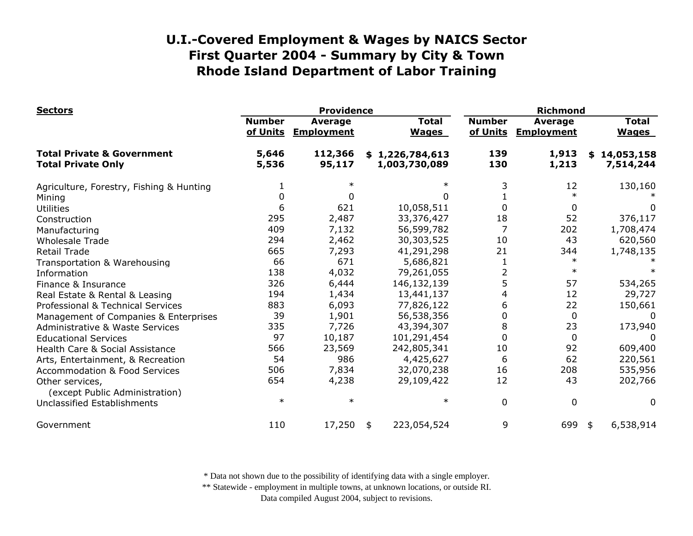| <b>Sectors</b>                                                     | <b>Providence</b>         |                                     |    |                                  | <b>Richmond</b>           |                                     |                              |                         |
|--------------------------------------------------------------------|---------------------------|-------------------------------------|----|----------------------------------|---------------------------|-------------------------------------|------------------------------|-------------------------|
|                                                                    | <b>Number</b><br>of Units | <b>Average</b><br><b>Employment</b> |    | <b>Total</b><br><b>Wages</b>     | <b>Number</b><br>of Units | <b>Average</b><br><b>Employment</b> | <b>Total</b><br><b>Wages</b> |                         |
| <b>Total Private &amp; Government</b><br><b>Total Private Only</b> | 5,646<br>5,536            | 112,366<br>95,117                   |    | \$1,226,784,613<br>1,003,730,089 | 139<br>130                | 1,913<br>1,213                      | \$                           | 14,053,158<br>7,514,244 |
| Agriculture, Forestry, Fishing & Hunting                           |                           |                                     |    |                                  | 3                         | 12                                  |                              | 130,160                 |
| Mining                                                             |                           | <sup>0</sup>                        |    |                                  |                           | $\ast$                              |                              |                         |
| <b>Utilities</b>                                                   | 6                         | 621                                 |    | 10,058,511                       | 0                         | 0                                   |                              | 0                       |
| Construction                                                       | 295                       | 2,487                               |    | 33,376,427                       | 18                        | 52                                  |                              | 376,117                 |
| Manufacturing                                                      | 409                       | 7,132                               |    | 56,599,782                       | $\overline{7}$            | 202                                 |                              | 1,708,474               |
| <b>Wholesale Trade</b>                                             | 294                       | 2,462                               |    | 30,303,525                       | 10                        | 43                                  |                              | 620,560                 |
| Retail Trade                                                       | 665                       | 7,293                               |    | 41,291,298                       | 21                        | 344                                 |                              | 1,748,135               |
| Transportation & Warehousing                                       | 66                        | 671                                 |    | 5,686,821                        |                           | $\ast$                              |                              |                         |
| Information                                                        | 138                       | 4,032                               |    | 79,261,055                       | $\overline{2}$            | $\ast$                              |                              |                         |
| Finance & Insurance                                                | 326                       | 6,444                               |    | 146,132,139                      | 5                         | 57                                  |                              | 534,265                 |
| Real Estate & Rental & Leasing                                     | 194                       | 1,434                               |    | 13,441,137                       | 4                         | 12                                  |                              | 29,727                  |
| Professional & Technical Services                                  | 883                       | 6,093                               |    | 77,826,122                       | 6                         | 22                                  |                              | 150,661                 |
| Management of Companies & Enterprises                              | 39                        | 1,901                               |    | 56,538,356                       | $\Omega$                  | 0                                   |                              | $\Omega$                |
| <b>Administrative &amp; Waste Services</b>                         | 335                       | 7,726                               |    | 43,394,307                       | 8                         | 23                                  |                              | 173,940                 |
| <b>Educational Services</b>                                        | 97                        | 10,187                              |    | 101,291,454                      | 0                         | 0                                   |                              |                         |
| Health Care & Social Assistance                                    | 566                       | 23,569                              |    | 242,805,341                      | 10                        | 92                                  |                              | 609,400                 |
| Arts, Entertainment, & Recreation                                  | 54                        | 986                                 |    | 4,425,627                        | 6                         | 62                                  |                              | 220,561                 |
| <b>Accommodation &amp; Food Services</b>                           | 506                       | 7,834                               |    | 32,070,238                       | 16                        | 208                                 |                              | 535,956                 |
| Other services,<br>(except Public Administration)                  | 654                       | 4,238                               |    | 29,109,422                       | 12                        | 43                                  |                              | 202,766                 |
| Unclassified Establishments                                        | $\ast$                    | $\ast$                              |    | $\ast$                           | 0                         | $\overline{0}$                      |                              | 0                       |
| Government                                                         | 110                       | 17,250                              | \$ | 223,054,524                      | 9                         | 699                                 | \$                           | 6,538,914               |

\* Data not shown due to the possibility of identifying data with a single employer.

\*\* Statewide - employment in multiple towns, at unknown locations, or outside RI.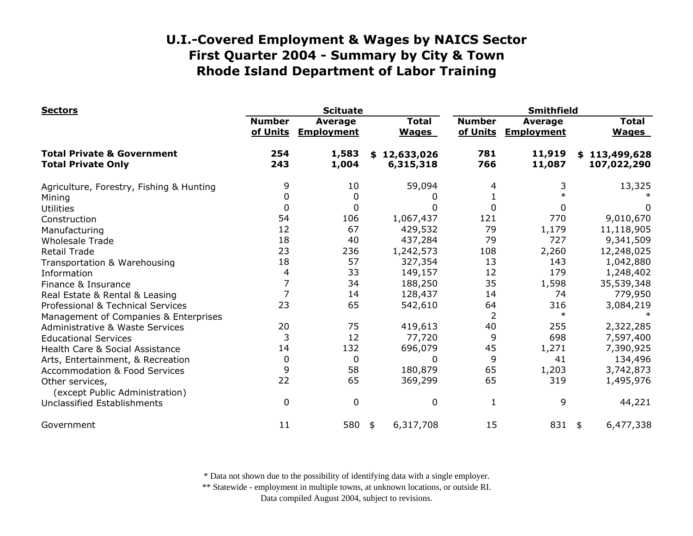| <b>Sectors</b>                                                     |                           | <b>Scituate</b>                     |                              | <b>Smithfield</b>         |                                     |                              |  |
|--------------------------------------------------------------------|---------------------------|-------------------------------------|------------------------------|---------------------------|-------------------------------------|------------------------------|--|
|                                                                    | <b>Number</b><br>of Units | <b>Average</b><br><b>Employment</b> | <b>Total</b><br><b>Wages</b> | <b>Number</b><br>of Units | <b>Average</b><br><b>Employment</b> | <b>Total</b><br><b>Wages</b> |  |
| <b>Total Private &amp; Government</b><br><b>Total Private Only</b> | 254<br>243                | 1,583<br>1,004                      | \$12,633,026<br>6,315,318    | 781<br>766                | 11,919<br>11,087                    | \$113,499,628<br>107,022,290 |  |
| Agriculture, Forestry, Fishing & Hunting                           | 9                         | 10                                  | 59,094                       |                           | 3                                   | 13,325                       |  |
| Mining                                                             | 0                         | 0                                   |                              |                           |                                     |                              |  |
| <b>Utilities</b>                                                   | 0                         | 0                                   | 0                            | $\Omega$                  |                                     | 0                            |  |
| Construction                                                       | 54                        | 106                                 | 1,067,437                    | 121                       | 770                                 | 9,010,670                    |  |
| Manufacturing                                                      | 12                        | 67                                  | 429,532                      | 79                        | 1,179                               | 11,118,905                   |  |
| <b>Wholesale Trade</b>                                             | 18                        | 40                                  | 437,284                      | 79                        | 727                                 | 9,341,509                    |  |
| <b>Retail Trade</b>                                                | 23                        | 236                                 | 1,242,573                    | 108                       | 2,260                               | 12,248,025                   |  |
| Transportation & Warehousing                                       | 18                        | 57                                  | 327,354                      | 13                        | 143                                 | 1,042,880                    |  |
| Information                                                        | 4                         | 33                                  | 149,157                      | 12                        | 179                                 | 1,248,402                    |  |
| Finance & Insurance                                                | 7                         | 34                                  | 188,250                      | 35                        | 1,598                               | 35,539,348                   |  |
| Real Estate & Rental & Leasing                                     | $\overline{7}$            | 14                                  | 128,437                      | 14                        | 74                                  | 779,950                      |  |
| Professional & Technical Services                                  | 23                        | 65                                  | 542,610                      | 64                        | 316                                 | 3,084,219                    |  |
| Management of Companies & Enterprises                              |                           |                                     |                              | 2                         | $\ast$                              |                              |  |
| <b>Administrative &amp; Waste Services</b>                         | 20                        | 75                                  | 419,613                      | 40                        | 255                                 | 2,322,285                    |  |
| <b>Educational Services</b>                                        | 3                         | 12                                  | 77,720                       | 9                         | 698                                 | 7,597,400                    |  |
| Health Care & Social Assistance                                    | 14                        | 132                                 | 696,079                      | 45                        | 1,271                               | 7,390,925                    |  |
| Arts, Entertainment, & Recreation                                  | 0                         | 0                                   | 0                            | 9                         | 41                                  | 134,496                      |  |
| <b>Accommodation &amp; Food Services</b>                           | 9                         | 58                                  | 180,879                      | 65                        | 1,203                               | 3,742,873                    |  |
| Other services,                                                    | 22                        | 65                                  | 369,299                      | 65                        | 319                                 | 1,495,976                    |  |
| (except Public Administration)                                     |                           |                                     |                              |                           |                                     |                              |  |
| Unclassified Establishments                                        | $\Omega$                  | $\boldsymbol{0}$                    | 0                            | 1                         | 9                                   | 44,221                       |  |
| Government                                                         | 11                        | 580                                 | 6,317,708<br>\$              | 15                        | 831                                 | 6,477,338<br>\$              |  |

\* Data not shown due to the possibility of identifying data with a single employer.

\*\* Statewide - employment in multiple towns, at unknown locations, or outside RI.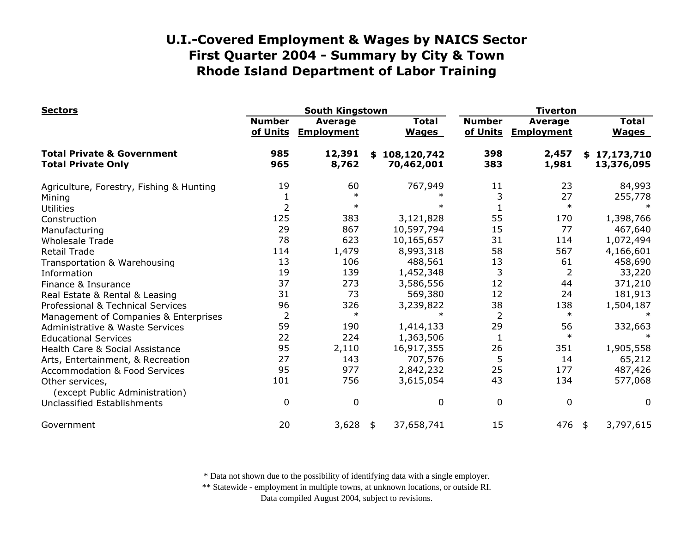| <b>Sectors</b>                                                     | <b>South Kingstown</b>    |                                     |                              |                             | <b>Tiverton</b>           |                                     |                              |                            |
|--------------------------------------------------------------------|---------------------------|-------------------------------------|------------------------------|-----------------------------|---------------------------|-------------------------------------|------------------------------|----------------------------|
|                                                                    | <b>Number</b><br>of Units | <b>Average</b><br><b>Employment</b> | <b>Total</b><br><b>Wages</b> |                             | <b>Number</b><br>of Units | <b>Average</b><br><b>Employment</b> | <b>Total</b><br><b>Wages</b> |                            |
| <b>Total Private &amp; Government</b><br><b>Total Private Only</b> | 985<br>965                | 12,391<br>8,762                     |                              | \$108,120,742<br>70,462,001 | 398<br>383                | 2,457<br>1,981                      |                              | \$17,173,710<br>13,376,095 |
| Agriculture, Forestry, Fishing & Hunting                           | 19                        | 60                                  |                              | 767,949                     | 11                        | 23                                  |                              | 84,993                     |
| Mining                                                             |                           | $\ast$                              |                              |                             | 3                         | 27                                  |                              | 255,778                    |
| <b>Utilities</b>                                                   | $\overline{2}$            | $\ast$                              |                              | $\ast$                      |                           | $\ast$                              |                              |                            |
| Construction                                                       | 125                       | 383                                 |                              | 3,121,828                   | 55                        | 170                                 |                              | 1,398,766                  |
| Manufacturing                                                      | 29                        | 867                                 |                              | 10,597,794                  | 15                        | 77                                  |                              | 467,640                    |
| <b>Wholesale Trade</b>                                             | 78                        | 623                                 |                              | 10,165,657                  | 31                        | 114                                 |                              | 1,072,494                  |
| <b>Retail Trade</b>                                                | 114                       | 1,479                               |                              | 8,993,318                   | 58                        | 567                                 |                              | 4,166,601                  |
| Transportation & Warehousing                                       | 13                        | 106                                 |                              | 488,561                     | 13                        | 61                                  |                              | 458,690                    |
| Information                                                        | 19                        | 139                                 |                              | 1,452,348                   | 3                         | 2                                   |                              | 33,220                     |
| Finance & Insurance                                                | 37                        | 273                                 |                              | 3,586,556                   | 12                        | 44                                  |                              | 371,210                    |
| Real Estate & Rental & Leasing                                     | 31                        | 73                                  |                              | 569,380                     | 12                        | 24                                  |                              | 181,913                    |
| Professional & Technical Services                                  | 96                        | 326                                 |                              | 3,239,822                   | 38                        | 138                                 |                              | 1,504,187                  |
| Management of Companies & Enterprises                              | $\overline{2}$            | $\ast$                              |                              | $\ast$                      | $\overline{2}$            | $\ast$                              |                              |                            |
| <b>Administrative &amp; Waste Services</b>                         | 59                        | 190                                 |                              | 1,414,133                   | 29                        | 56                                  |                              | 332,663                    |
| <b>Educational Services</b>                                        | 22                        | 224                                 |                              | 1,363,506                   | $\mathbf{1}$              | $\ast$                              |                              |                            |
| Health Care & Social Assistance                                    | 95                        | 2,110                               |                              | 16,917,355                  | 26                        | 351                                 |                              | 1,905,558                  |
| Arts, Entertainment, & Recreation                                  | 27                        | 143                                 |                              | 707,576                     | 5                         | 14                                  |                              | 65,212                     |
| <b>Accommodation &amp; Food Services</b>                           | 95                        | 977                                 |                              | 2,842,232                   | 25                        | 177                                 |                              | 487,426                    |
| Other services,                                                    | 101                       | 756                                 |                              | 3,615,054                   | 43                        | 134                                 |                              | 577,068                    |
| (except Public Administration)                                     |                           |                                     |                              |                             |                           |                                     |                              |                            |
| Unclassified Establishments                                        | 0                         | 0                                   |                              | 0                           | $\mathbf 0$               | $\mathbf 0$                         |                              | 0                          |
| Government                                                         | 20                        | 3,628                               | \$                           | 37,658,741                  | 15                        | 476                                 | \$                           | 3,797,615                  |

\* Data not shown due to the possibility of identifying data with a single employer.

\*\* Statewide - employment in multiple towns, at unknown locations, or outside RI.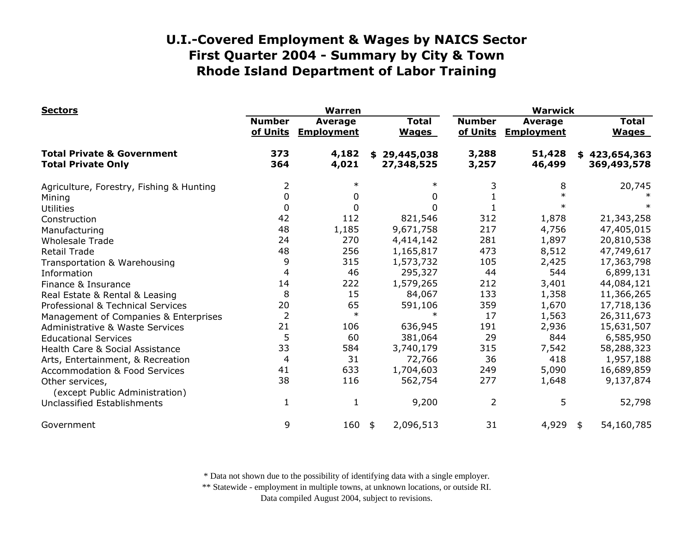| <b>Sectors</b>                                                     |                           | <b>Warren</b>                       |                                | <b>Warwick</b>            |                                     |                              |  |
|--------------------------------------------------------------------|---------------------------|-------------------------------------|--------------------------------|---------------------------|-------------------------------------|------------------------------|--|
|                                                                    | <b>Number</b><br>of Units | <b>Average</b><br><b>Employment</b> | <b>Total</b><br><b>Wages</b>   | <b>Number</b><br>of Units | <b>Average</b><br><b>Employment</b> | <b>Total</b><br><b>Wages</b> |  |
| <b>Total Private &amp; Government</b><br><b>Total Private Only</b> | 373<br>364                | 4,182<br>4,021                      | 29,445,038<br>\$<br>27,348,525 | 3,288<br>3,257            | 51,428<br>46,499                    | \$423,654,363<br>369,493,578 |  |
| Agriculture, Forestry, Fishing & Hunting                           | 2                         | $\ast$                              | $\ast$                         |                           | 8                                   | 20,745                       |  |
| Mining                                                             | 0                         | 0                                   | 0                              |                           |                                     |                              |  |
| <b>Utilities</b>                                                   | 0                         | 0                                   | 0                              |                           |                                     |                              |  |
| Construction                                                       | 42                        | 112                                 | 821,546                        | 312                       | 1,878                               | 21,343,258                   |  |
| Manufacturing                                                      | 48                        | 1,185                               | 9,671,758                      | 217                       | 4,756                               | 47,405,015                   |  |
| <b>Wholesale Trade</b>                                             | 24                        | 270                                 | 4,414,142                      | 281                       | 1,897                               | 20,810,538                   |  |
| <b>Retail Trade</b>                                                | 48                        | 256                                 | 1,165,817                      | 473                       | 8,512                               | 47,749,617                   |  |
| Transportation & Warehousing                                       | 9                         | 315                                 | 1,573,732                      | 105                       | 2,425                               | 17,363,798                   |  |
| Information                                                        | $\overline{4}$            | 46                                  | 295,327                        | 44                        | 544                                 | 6,899,131                    |  |
| Finance & Insurance                                                | 14                        | 222                                 | 1,579,265                      | 212                       | 3,401                               | 44,084,121                   |  |
| Real Estate & Rental & Leasing                                     | 8                         | 15                                  | 84,067                         | 133                       | 1,358                               | 11,366,265                   |  |
| Professional & Technical Services                                  | 20                        | 65                                  | 591,106                        | 359                       | 1,670                               | 17,718,136                   |  |
| Management of Companies & Enterprises                              | $\overline{2}$            | $\ast$                              | $\ast$                         | 17                        | 1,563                               | 26,311,673                   |  |
| <b>Administrative &amp; Waste Services</b>                         | 21                        | 106                                 | 636,945                        | 191                       | 2,936                               | 15,631,507                   |  |
| <b>Educational Services</b>                                        | 5                         | 60                                  | 381,064                        | 29                        | 844                                 | 6,585,950                    |  |
| Health Care & Social Assistance                                    | 33                        | 584                                 | 3,740,179                      | 315                       | 7,542                               | 58,288,323                   |  |
| Arts, Entertainment, & Recreation                                  | 4                         | 31                                  | 72,766                         | 36                        | 418                                 | 1,957,188                    |  |
| <b>Accommodation &amp; Food Services</b>                           | 41                        | 633                                 | 1,704,603                      | 249                       | 5,090                               | 16,689,859                   |  |
| Other services,<br>(except Public Administration)                  | 38                        | 116                                 | 562,754                        | 277                       | 1,648                               | 9,137,874                    |  |
| Unclassified Establishments                                        | 1                         | $\mathbf{1}$                        | 9,200                          | $\overline{2}$            | 5                                   | 52,798                       |  |
| Government                                                         | 9                         | 160                                 | 2,096,513<br>\$                | 31                        | 4,929                               | 54,160,785<br>\$             |  |

\* Data not shown due to the possibility of identifying data with a single employer.

\*\* Statewide - employment in multiple towns, at unknown locations, or outside RI.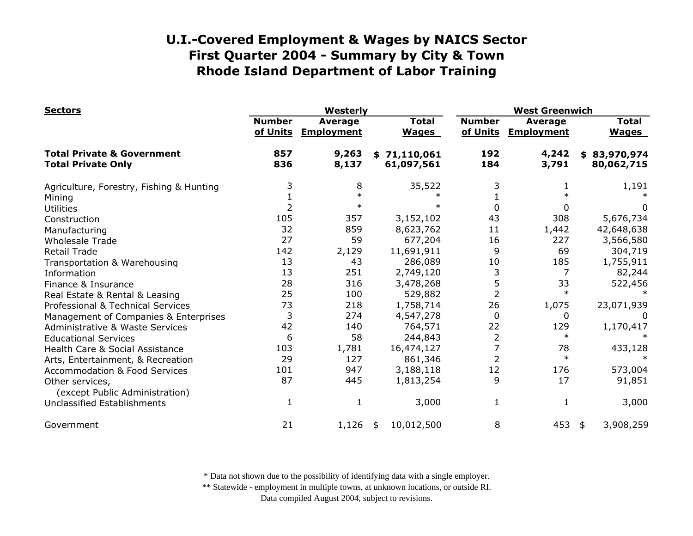| <b>Sectors</b>                                                     |                           | Westerly                            |                              |                           | <b>West Greenwich</b>               |                              |  |  |
|--------------------------------------------------------------------|---------------------------|-------------------------------------|------------------------------|---------------------------|-------------------------------------|------------------------------|--|--|
|                                                                    | <b>Number</b><br>of Units | <b>Average</b><br><b>Employment</b> | <b>Total</b><br><b>Wages</b> | <b>Number</b><br>of Units | <b>Average</b><br><b>Employment</b> | <b>Total</b><br><b>Wages</b> |  |  |
| <b>Total Private &amp; Government</b><br><b>Total Private Only</b> | 857<br>836                | 9,263<br>8,137                      | \$71,110,061<br>61,097,561   | 192<br>184                | 4,242<br>3,791                      | \$83,970,974<br>80,062,715   |  |  |
| Agriculture, Forestry, Fishing & Hunting                           | 3                         | 8                                   | 35,522                       |                           |                                     | 1,191                        |  |  |
| Mining                                                             |                           | $\ast$                              |                              |                           |                                     |                              |  |  |
| <b>Utilities</b>                                                   | 2                         | $\ast$                              | $\ast$                       | 0                         | 0                                   | 0                            |  |  |
| Construction                                                       | 105                       | 357                                 | 3,152,102                    | 43                        | 308                                 | 5,676,734                    |  |  |
| Manufacturing                                                      | 32                        | 859                                 | 8,623,762                    | 11                        | 1,442                               | 42,648,638                   |  |  |
| <b>Wholesale Trade</b>                                             | 27                        | 59                                  | 677,204                      | 16                        | 227                                 | 3,566,580                    |  |  |
| <b>Retail Trade</b>                                                | 142                       | 2,129                               | 11,691,911                   | 9                         | 69                                  | 304,719                      |  |  |
| Transportation & Warehousing                                       | 13                        | 43                                  | 286,089                      | 10                        | 185                                 | 1,755,911                    |  |  |
| Information                                                        | 13                        | 251                                 | 2,749,120                    | 3                         | 7                                   | 82,244                       |  |  |
| Finance & Insurance                                                | 28                        | 316                                 | 3,478,268                    | 5                         | 33                                  | 522,456                      |  |  |
| Real Estate & Rental & Leasing                                     | 25                        | 100                                 | 529,882                      | $\overline{2}$            | $\ast$                              |                              |  |  |
| Professional & Technical Services                                  | 73                        | 218                                 | 1,758,714                    | 26                        | 1,075                               | 23,071,939                   |  |  |
| Management of Companies & Enterprises                              | 3                         | 274                                 | 4,547,278                    | 0                         | 0                                   |                              |  |  |
| <b>Administrative &amp; Waste Services</b>                         | 42                        | 140                                 | 764,571                      | 22                        | 129                                 | 1,170,417                    |  |  |
| <b>Educational Services</b>                                        | 6                         | 58                                  | 244,843                      | 2                         | $\ast$                              |                              |  |  |
| Health Care & Social Assistance                                    | 103                       | 1,781                               | 16,474,127                   |                           | 78                                  | 433,128                      |  |  |
| Arts, Entertainment, & Recreation                                  | 29                        | 127                                 | 861,346                      | $\overline{2}$            | $\ast$                              | $\ast$                       |  |  |
| <b>Accommodation &amp; Food Services</b>                           | 101                       | 947                                 | 3,188,118                    | 12                        | 176                                 | 573,004                      |  |  |
| Other services,<br>(except Public Administration)                  | 87                        | 445                                 | 1,813,254                    | 9                         | 17                                  | 91,851                       |  |  |
| Unclassified Establishments                                        | 1                         | 1                                   | 3,000                        | 1                         | 1                                   | 3,000                        |  |  |
| Government                                                         | 21                        | 1,126                               | 10,012,500<br>\$             | 8                         | 453                                 | 3,908,259<br>\$              |  |  |

\* Data not shown due to the possibility of identifying data with a single employer.

\*\* Statewide - employment in multiple towns, at unknown locations, or outside RI.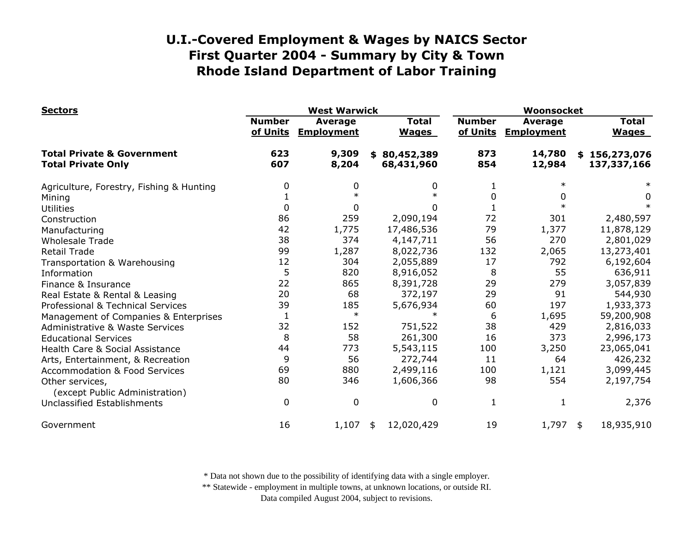| <b>Sectors</b>                                                     |                           | <b>West Warwick</b>                 |                              | Woonsocket                |                                     |                              |  |
|--------------------------------------------------------------------|---------------------------|-------------------------------------|------------------------------|---------------------------|-------------------------------------|------------------------------|--|
|                                                                    | <b>Number</b><br>of Units | <b>Average</b><br><b>Employment</b> | <b>Total</b><br><b>Wages</b> | <b>Number</b><br>of Units | <b>Average</b><br><b>Employment</b> | <b>Total</b><br><b>Wages</b> |  |
| <b>Total Private &amp; Government</b><br><b>Total Private Only</b> | 623<br>607                | 9,309<br>8,204                      | \$80,452,389<br>68,431,960   | 873<br>854                | 14,780<br>12,984                    | \$156,273,076<br>137,337,166 |  |
| Agriculture, Forestry, Fishing & Hunting                           | 0                         | 0                                   | 0                            |                           |                                     |                              |  |
| Mining                                                             |                           | $\ast$                              | $\ast$                       | <sup>0</sup>              |                                     | 0                            |  |
| <b>Utilities</b>                                                   | 0                         | 0                                   | 0                            |                           |                                     |                              |  |
| Construction                                                       | 86                        | 259                                 | 2,090,194                    | 72                        | 301                                 | 2,480,597                    |  |
| Manufacturing                                                      | 42                        | 1,775                               | 17,486,536                   | 79                        | 1,377                               | 11,878,129                   |  |
| <b>Wholesale Trade</b>                                             | 38                        | 374                                 | 4,147,711                    | 56                        | 270                                 | 2,801,029                    |  |
| <b>Retail Trade</b>                                                | 99                        | 1,287                               | 8,022,736                    | 132                       | 2,065                               | 13,273,401                   |  |
| Transportation & Warehousing                                       | 12                        | 304                                 | 2,055,889                    | 17                        | 792                                 | 6,192,604                    |  |
| Information                                                        | 5                         | 820                                 | 8,916,052                    | 8                         | 55                                  | 636,911                      |  |
| Finance & Insurance                                                | 22                        | 865                                 | 8,391,728                    | 29                        | 279                                 | 3,057,839                    |  |
| Real Estate & Rental & Leasing                                     | 20                        | 68                                  | 372,197                      | 29                        | 91                                  | 544,930                      |  |
| Professional & Technical Services                                  | 39                        | 185                                 | 5,676,934                    | 60                        | 197                                 | 1,933,373                    |  |
| Management of Companies & Enterprises                              | $\mathbf{1}$              | $\ast$                              | $\ast$                       | 6                         | 1,695                               | 59,200,908                   |  |
| Administrative & Waste Services                                    | 32                        | 152                                 | 751,522                      | 38                        | 429                                 | 2,816,033                    |  |
| <b>Educational Services</b>                                        | 8                         | 58                                  | 261,300                      | 16                        | 373                                 | 2,996,173                    |  |
| Health Care & Social Assistance                                    | 44                        | 773                                 | 5,543,115                    | 100                       | 3,250                               | 23,065,041                   |  |
| Arts, Entertainment, & Recreation                                  | 9                         | 56                                  | 272,744                      | 11                        | 64                                  | 426,232                      |  |
| <b>Accommodation &amp; Food Services</b>                           | 69                        | 880                                 | 2,499,116                    | 100                       | 1,121                               | 3,099,445                    |  |
| Other services,<br>(except Public Administration)                  | 80                        | 346                                 | 1,606,366                    | 98                        | 554                                 | 2,197,754                    |  |
| Unclassified Establishments                                        | $\Omega$                  | $\mathbf 0$                         | 0                            | 1                         |                                     | 2,376                        |  |
| Government                                                         | 16                        | 1,107                               | 12,020,429<br>\$             | 19                        | $1,797$ \$                          | 18,935,910                   |  |

\* Data not shown due to the possibility of identifying data with a single employer.

\*\* Statewide - employment in multiple towns, at unknown locations, or outside RI.